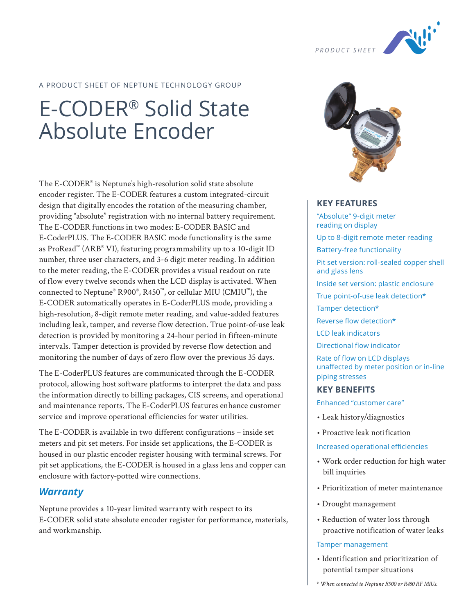

# A PRODUCT SHEET OF NEPTUNE TECHNOLOGY GROUP

# E-CODER® Solid State Absolute Encoder

The E-CODER® is Neptune's high-resolution solid state absolute encoder register. The E-CODER features a custom integrated-circuit design that digitally encodes the rotation of the measuring chamber, providing "absolute" registration with no internal battery requirement. The E-CODER functions in two modes: E-CODER BASIC and E-CoderPLUS. The E-CODER BASIC mode functionality is the same as ProRead™ (ARB® VI), featuring programmability up to a 10-digit ID number, three user characters, and 3-6 digit meter reading. In addition to the meter reading, the E-CODER provides a visual readout on rate of flow every twelve seconds when the LCD display is activated. When connected to Neptune® R900® , R450™, or cellular MIU (CMIU™), the E-CODER automatically operates in E-CoderPLUS mode, providing a high-resolution, 8-digit remote meter reading, and value-added features including leak, tamper, and reverse flow detection. True point-of-use leak detection is provided by monitoring a 24-hour period in fifteen-minute intervals. Tamper detection is provided by reverse flow detection and monitoring the number of days of zero flow over the previous 35 days.

The E-CoderPLUS features are communicated through the E-CODER protocol, allowing host software platforms to interpret the data and pass the information directly to billing packages, CIS screens, and operational and maintenance reports. The E-CoderPLUS features enhance customer service and improve operational efficiencies for water utilities.

The E-CODER is available in two different configurations – inside set meters and pit set meters. For inside set applications, the E-CODER is housed in our plastic encoder register housing with terminal screws. For pit set applications, the E-CODER is housed in a glass lens and copper can enclosure with factory-potted wire connections.

# *Warranty*

Neptune provides a 10-year limited warranty with respect to its E-CODER solid state absolute encoder register for performance, materials, and workmanship.



## **KEY FEATURES**

"Absolute" 9-digit meter reading on display Up to 8-digit remote meter reading Battery-free functionality Pit set version: roll-sealed copper shell and glass lens Inside set version: plastic enclosure True point-of-use leak detection\* Tamper detection\* Reverse flow detection\* LCD leak indicators Directional flow indicator Rate of flow on LCD displays unaffected by meter position or in-line piping stresses

# **KEY BENEFITS**

Enhanced "customer care"

- Leak history/diagnostics
- Proactive leak notification

#### Increased operational efficiencies

- Work order reduction for high water bill inquiries
- Prioritization of meter maintenance
- Drought management
- Reduction of water loss through proactive notification of water leaks

#### Tamper management

• Identification and prioritization of potential tamper situations